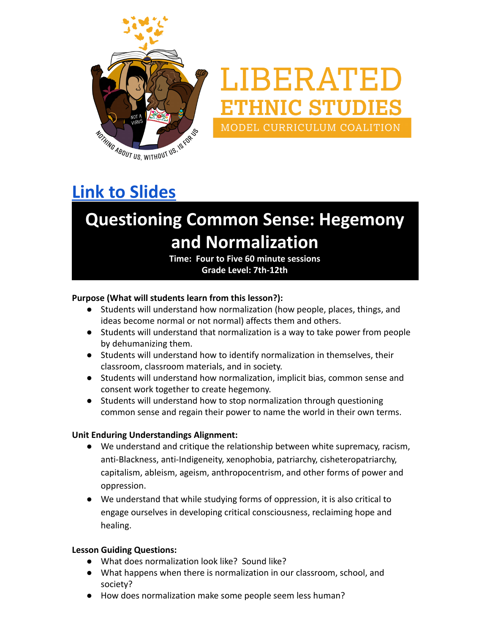

# LIBERATED **THNIC STUDIES** MODEL CURRICULUM COALITION

## **[Link to Slides](https://docs.google.com/presentation/d/1IrL2JvjcOWazbIbPdq1b_pXPrkeMlow0CyHoOcVU72k/copy)**

## **Questioning Common Sense: Hegemony and Normalization**

**Time: Four to Five 60 minute sessions Grade Level: 7th-12th**

#### **Purpose (What will students learn from this lesson?):**

- Students will understand how normalization (how people, places, things, and ideas become normal or not normal) affects them and others.
- Students will understand that normalization is a way to take power from people by dehumanizing them.
- Students will understand how to identify normalization in themselves, their classroom, classroom materials, and in society.
- Students will understand how normalization, implicit bias, common sense and consent work together to create hegemony.
- Students will understand how to stop normalization through questioning common sense and regain their power to name the world in their own terms.

#### **Unit Enduring Understandings Alignment:**

- We understand and critique the relationship between white supremacy, racism, anti-Blackness, anti-Indigeneity, xenophobia, patriarchy, cisheteropatriarchy, capitalism, ableism, ageism, anthropocentrism, and other forms of power and oppression.
- We understand that while studying forms of oppression, it is also critical to engage ourselves in developing critical consciousness, reclaiming hope and healing.

#### **Lesson Guiding Questions:**

- What does normalization look like? Sound like?
- What happens when there is normalization in our classroom, school, and society?
- How does normalization make some people seem less human?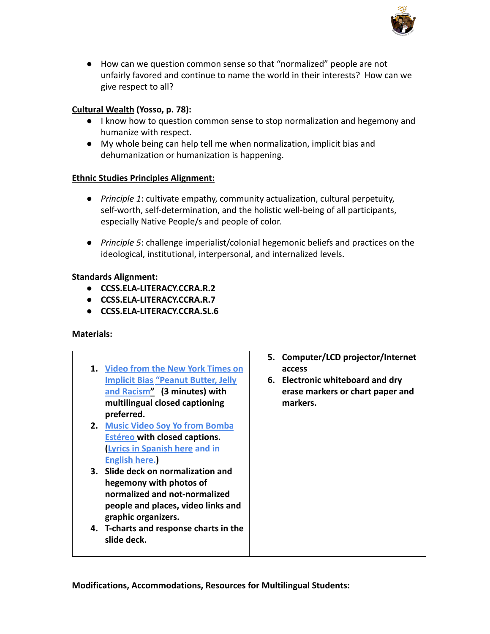

● How can we question common sense so that "normalized" people are not unfairly favored and continue to name the world in their interests? How can we give respect to all?

#### **[Cultural Wealth](https://drive.google.com/file/d/0B0c4WTZSk3sNNlJuV1NobldqTHc/view?usp=sharing) (Yosso, p. 78):**

- I know how to question common sense to stop normalization and hegemony and humanize with respect.
- My whole being can help tell me when normalization, implicit bias and dehumanization or humanization is happening.

#### **[Ethnic Studies Principles Alignment:](https://docs.google.com/document/d/1IXvC0GexzT95ptWjV8I5AMmghJ4ch0HQc_uOkKslPSU/edit?usp=sharing)**

- **●** *Principle 1*: cultivate empathy, community actualization, cultural perpetuity, self-worth, self-determination, and the holistic well-being of all participants, especially Native People/s and people of color.
- **●** *Principle 5*: challenge imperialist/colonial hegemonic beliefs and practices on the ideological, institutional, interpersonal, and internalized levels.

#### **Standards Alignment:**

- **● [CCSS.ELA-LITERACY.CCRA.R.2](http://www.corestandards.org/ELA-Literacy/CCRA/R/2/)**
- **● [CCSS.ELA-LITERACY.CCRA.R.7](http://www.corestandards.org/ELA-Literacy/CCRA/R/7/)**
- **● [CCSS.ELA-LITERACY.CCRA.SL.6](http://www.corestandards.org/ELA-Literacy/CCRA/SL/6/)**

#### **Materials:**

| 1. Video from the New York Times on<br><b>Implicit Bias "Peanut Butter, Jelly</b><br>and Racism" (3 minutes) with<br>multilingual closed captioning<br>preferred.<br>2. Music Video Soy Yo from Bomba<br><b>Estéreo with closed captions.</b> | 5. Computer/LCD projector/Internet<br>access<br>6. Electronic whiteboard and dry<br>erase markers or chart paper and<br>markers. |
|-----------------------------------------------------------------------------------------------------------------------------------------------------------------------------------------------------------------------------------------------|----------------------------------------------------------------------------------------------------------------------------------|
| <b>Lyrics in Spanish here and in</b><br><b>English here.)</b>                                                                                                                                                                                 |                                                                                                                                  |
| 3. Slide deck on normalization and<br>hegemony with photos of<br>normalized and not-normalized<br>people and places, video links and<br>graphic organizers.                                                                                   |                                                                                                                                  |
| 4. T-charts and response charts in the<br>slide deck.                                                                                                                                                                                         |                                                                                                                                  |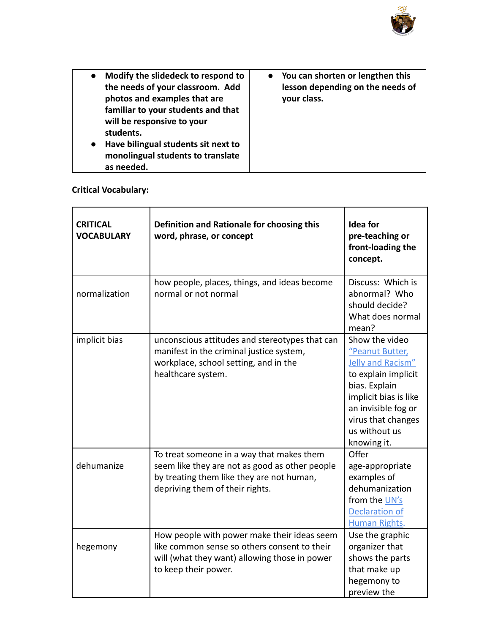

| Modify the slidedeck to respond to<br>$\bullet$<br>the needs of your classroom. Add<br>photos and examples that are<br>familiar to your students and that<br>will be responsive to your<br>students.<br>Have bilingual students sit next to<br>$\bullet$<br>monolingual students to translate<br>as needed. | • You can shorten or lengthen this<br>lesson depending on the needs of<br>your class. |
|-------------------------------------------------------------------------------------------------------------------------------------------------------------------------------------------------------------------------------------------------------------------------------------------------------------|---------------------------------------------------------------------------------------|
|-------------------------------------------------------------------------------------------------------------------------------------------------------------------------------------------------------------------------------------------------------------------------------------------------------------|---------------------------------------------------------------------------------------|

#### **Critical Vocabulary:**

| <b>CRITICAL</b><br><b>VOCABULARY</b> | Definition and Rationale for choosing this<br>word, phrase, or concept                                                                                                      | <b>Idea for</b><br>pre-teaching or<br>front-loading the<br>concept.                                                                                                                                  |
|--------------------------------------|-----------------------------------------------------------------------------------------------------------------------------------------------------------------------------|------------------------------------------------------------------------------------------------------------------------------------------------------------------------------------------------------|
| normalization                        | how people, places, things, and ideas become<br>normal or not normal                                                                                                        | Discuss: Which is<br>abnormal? Who<br>should decide?<br>What does normal<br>mean?                                                                                                                    |
| implicit bias                        | unconscious attitudes and stereotypes that can<br>manifest in the criminal justice system,<br>workplace, school setting, and in the<br>healthcare system.                   | Show the video<br>"Peanut Butter,<br>Jelly and Racism"<br>to explain implicit<br>bias. Explain<br>implicit bias is like<br>an invisible fog or<br>virus that changes<br>us without us<br>knowing it. |
| dehumanize                           | To treat someone in a way that makes them<br>seem like they are not as good as other people<br>by treating them like they are not human,<br>depriving them of their rights. | Offer<br>age-appropriate<br>examples of<br>dehumanization<br>from the UN's<br><b>Declaration of</b><br><b>Human Rights.</b>                                                                          |
| hegemony                             | How people with power make their ideas seem<br>like common sense so others consent to their<br>will (what they want) allowing those in power<br>to keep their power.        | Use the graphic<br>organizer that<br>shows the parts<br>that make up<br>hegemony to<br>preview the                                                                                                   |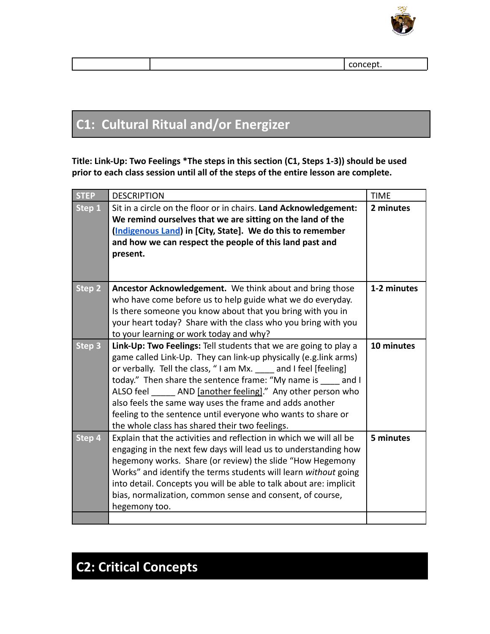

### **C1: Cultural Ritual and/or Energizer**

**Title: Link-Up: Two Feelings \*The steps in this section (C1, Steps 1-3)) should be used prior to each class session until all of the steps of the entire lesson are complete.**

| <b>STEP</b> | <b>DESCRIPTION</b>                                                                                                                                                                                                                                                                                                                                                                                                                                                                                     | <b>TIME</b> |
|-------------|--------------------------------------------------------------------------------------------------------------------------------------------------------------------------------------------------------------------------------------------------------------------------------------------------------------------------------------------------------------------------------------------------------------------------------------------------------------------------------------------------------|-------------|
| Step 1      | Sit in a circle on the floor or in chairs. Land Acknowledgement:<br>We remind ourselves that we are sitting on the land of the<br>(Indigenous Land) in [City, State]. We do this to remember<br>and how we can respect the people of this land past and<br>present.                                                                                                                                                                                                                                    | 2 minutes   |
| Step 2      | Ancestor Acknowledgement. We think about and bring those<br>who have come before us to help guide what we do everyday.<br>Is there someone you know about that you bring with you in<br>your heart today? Share with the class who you bring with you<br>to your learning or work today and why?                                                                                                                                                                                                       | 1-2 minutes |
| Step 3      | Link-Up: Two Feelings: Tell students that we are going to play a<br>game called Link-Up. They can link-up physically (e.g.link arms)<br>or verbally. Tell the class, "I am Mx. and I feel [feeling]<br>today." Then share the sentence frame: "My name is and I<br>ALSO feel AND [another feeling]." Any other person who<br>also feels the same way uses the frame and adds another<br>feeling to the sentence until everyone who wants to share or<br>the whole class has shared their two feelings. | 10 minutes  |
| Step 4      | Explain that the activities and reflection in which we will all be<br>engaging in the next few days will lead us to understanding how<br>hegemony works. Share (or review) the slide "How Hegemony<br>Works" and identify the terms students will learn without going<br>into detail. Concepts you will be able to talk about are: implicit<br>bias, normalization, common sense and consent, of course,<br>hegemony too.                                                                              | 5 minutes   |
|             |                                                                                                                                                                                                                                                                                                                                                                                                                                                                                                        |             |

## **C2: Critical Concepts**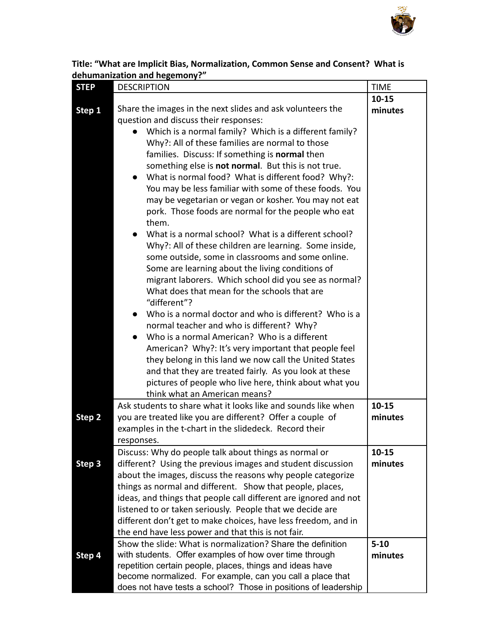

| Title: "What are Implicit Bias, Normalization, Common Sense and Consent? What is |  |
|----------------------------------------------------------------------------------|--|
| dehumanization and hegemony?"                                                    |  |

| <b>STEP</b> | <b>DESCRIPTION</b>                                                                                                                                                                                                                                                                                                                                                                                                                                                                                                                                                                                                                                                                                                                                                                                                                                                                                                                                                                                                                                                                                                                                                                                                                                                                                                                                  | <b>TIME</b>         |
|-------------|-----------------------------------------------------------------------------------------------------------------------------------------------------------------------------------------------------------------------------------------------------------------------------------------------------------------------------------------------------------------------------------------------------------------------------------------------------------------------------------------------------------------------------------------------------------------------------------------------------------------------------------------------------------------------------------------------------------------------------------------------------------------------------------------------------------------------------------------------------------------------------------------------------------------------------------------------------------------------------------------------------------------------------------------------------------------------------------------------------------------------------------------------------------------------------------------------------------------------------------------------------------------------------------------------------------------------------------------------------|---------------------|
|             |                                                                                                                                                                                                                                                                                                                                                                                                                                                                                                                                                                                                                                                                                                                                                                                                                                                                                                                                                                                                                                                                                                                                                                                                                                                                                                                                                     | $10 - 15$           |
| Step 1      | Share the images in the next slides and ask volunteers the<br>question and discuss their responses:<br>Which is a normal family? Which is a different family?<br>Why?: All of these families are normal to those<br>families. Discuss: If something is normal then<br>something else is not normal. But this is not true.<br>What is normal food? What is different food? Why?:<br>You may be less familiar with some of these foods. You<br>may be vegetarian or vegan or kosher. You may not eat<br>pork. Those foods are normal for the people who eat<br>them.<br>What is a normal school? What is a different school?<br>Why?: All of these children are learning. Some inside,<br>some outside, some in classrooms and some online.<br>Some are learning about the living conditions of<br>migrant laborers. Which school did you see as normal?<br>What does that mean for the schools that are<br>"different"?<br>Who is a normal doctor and who is different? Who is a<br>normal teacher and who is different? Why?<br>Who is a normal American? Who is a different<br>American? Why?: It's very important that people feel<br>they belong in this land we now call the United States<br>and that they are treated fairly. As you look at these<br>pictures of people who live here, think about what you<br>think what an American means? | minutes             |
|             | Ask students to share what it looks like and sounds like when                                                                                                                                                                                                                                                                                                                                                                                                                                                                                                                                                                                                                                                                                                                                                                                                                                                                                                                                                                                                                                                                                                                                                                                                                                                                                       | $10 - 15$           |
| Step 2      | you are treated like you are different? Offer a couple of                                                                                                                                                                                                                                                                                                                                                                                                                                                                                                                                                                                                                                                                                                                                                                                                                                                                                                                                                                                                                                                                                                                                                                                                                                                                                           | minutes             |
|             | examples in the t-chart in the slidedeck. Record their                                                                                                                                                                                                                                                                                                                                                                                                                                                                                                                                                                                                                                                                                                                                                                                                                                                                                                                                                                                                                                                                                                                                                                                                                                                                                              |                     |
|             | responses.                                                                                                                                                                                                                                                                                                                                                                                                                                                                                                                                                                                                                                                                                                                                                                                                                                                                                                                                                                                                                                                                                                                                                                                                                                                                                                                                          |                     |
|             | Discuss: Why do people talk about things as normal or                                                                                                                                                                                                                                                                                                                                                                                                                                                                                                                                                                                                                                                                                                                                                                                                                                                                                                                                                                                                                                                                                                                                                                                                                                                                                               | $10 - 15$           |
| Step 3      | different? Using the previous images and student discussion<br>about the images, discuss the reasons why people categorize                                                                                                                                                                                                                                                                                                                                                                                                                                                                                                                                                                                                                                                                                                                                                                                                                                                                                                                                                                                                                                                                                                                                                                                                                          | minutes             |
|             | things as normal and different. Show that people, places,                                                                                                                                                                                                                                                                                                                                                                                                                                                                                                                                                                                                                                                                                                                                                                                                                                                                                                                                                                                                                                                                                                                                                                                                                                                                                           |                     |
|             | ideas, and things that people call different are ignored and not                                                                                                                                                                                                                                                                                                                                                                                                                                                                                                                                                                                                                                                                                                                                                                                                                                                                                                                                                                                                                                                                                                                                                                                                                                                                                    |                     |
|             | listened to or taken seriously. People that we decide are                                                                                                                                                                                                                                                                                                                                                                                                                                                                                                                                                                                                                                                                                                                                                                                                                                                                                                                                                                                                                                                                                                                                                                                                                                                                                           |                     |
|             | different don't get to make choices, have less freedom, and in                                                                                                                                                                                                                                                                                                                                                                                                                                                                                                                                                                                                                                                                                                                                                                                                                                                                                                                                                                                                                                                                                                                                                                                                                                                                                      |                     |
|             | the end have less power and that this is not fair.                                                                                                                                                                                                                                                                                                                                                                                                                                                                                                                                                                                                                                                                                                                                                                                                                                                                                                                                                                                                                                                                                                                                                                                                                                                                                                  |                     |
|             | Show the slide: What is normalization? Share the definition<br>with students. Offer examples of how over time through                                                                                                                                                                                                                                                                                                                                                                                                                                                                                                                                                                                                                                                                                                                                                                                                                                                                                                                                                                                                                                                                                                                                                                                                                               | $5 - 10$<br>minutes |
| Step 4      | repetition certain people, places, things and ideas have                                                                                                                                                                                                                                                                                                                                                                                                                                                                                                                                                                                                                                                                                                                                                                                                                                                                                                                                                                                                                                                                                                                                                                                                                                                                                            |                     |
|             | become normalized. For example, can you call a place that                                                                                                                                                                                                                                                                                                                                                                                                                                                                                                                                                                                                                                                                                                                                                                                                                                                                                                                                                                                                                                                                                                                                                                                                                                                                                           |                     |
|             | does not have tests a school? Those in positions of leadership                                                                                                                                                                                                                                                                                                                                                                                                                                                                                                                                                                                                                                                                                                                                                                                                                                                                                                                                                                                                                                                                                                                                                                                                                                                                                      |                     |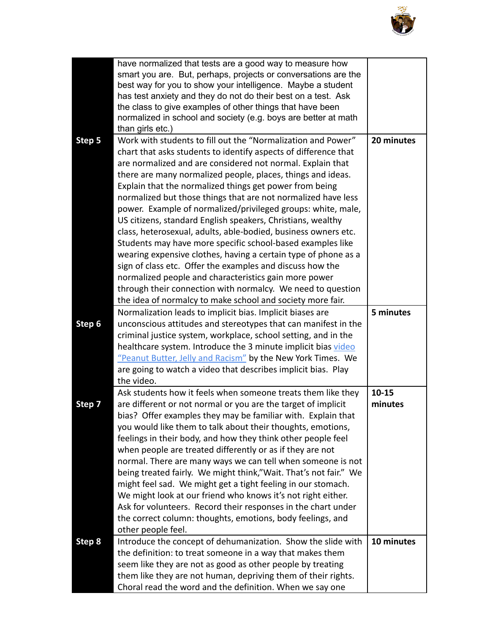

|        | have normalized that tests are a good way to measure how<br>smart you are. But, perhaps, projects or conversations are the<br>best way for you to show your intelligence. Maybe a student<br>has test anxiety and they do not do their best on a test. Ask<br>the class to give examples of other things that have been<br>normalized in school and society (e.g. boys are better at math<br>than girls etc.)                                                                                                                                                                                                                                                                                                                                                                                                                                                                                                                                                                |                      |
|--------|------------------------------------------------------------------------------------------------------------------------------------------------------------------------------------------------------------------------------------------------------------------------------------------------------------------------------------------------------------------------------------------------------------------------------------------------------------------------------------------------------------------------------------------------------------------------------------------------------------------------------------------------------------------------------------------------------------------------------------------------------------------------------------------------------------------------------------------------------------------------------------------------------------------------------------------------------------------------------|----------------------|
| Step 5 | Work with students to fill out the "Normalization and Power"<br>chart that asks students to identify aspects of difference that<br>are normalized and are considered not normal. Explain that<br>there are many normalized people, places, things and ideas.<br>Explain that the normalized things get power from being<br>normalized but those things that are not normalized have less<br>power. Example of normalized/privileged groups: white, male,<br>US citizens, standard English speakers, Christians, wealthy<br>class, heterosexual, adults, able-bodied, business owners etc.<br>Students may have more specific school-based examples like<br>wearing expensive clothes, having a certain type of phone as a<br>sign of class etc. Offer the examples and discuss how the<br>normalized people and characteristics gain more power<br>through their connection with normalcy. We need to question<br>the idea of normalcy to make school and society more fair. | 20 minutes           |
|        | Normalization leads to implicit bias. Implicit biases are                                                                                                                                                                                                                                                                                                                                                                                                                                                                                                                                                                                                                                                                                                                                                                                                                                                                                                                    | 5 minutes            |
| Step 6 | unconscious attitudes and stereotypes that can manifest in the<br>criminal justice system, workplace, school setting, and in the                                                                                                                                                                                                                                                                                                                                                                                                                                                                                                                                                                                                                                                                                                                                                                                                                                             |                      |
|        | healthcare system. Introduce the 3 minute implicit bias video                                                                                                                                                                                                                                                                                                                                                                                                                                                                                                                                                                                                                                                                                                                                                                                                                                                                                                                |                      |
|        | "Peanut Butter, Jelly and Racism" by the New York Times. We                                                                                                                                                                                                                                                                                                                                                                                                                                                                                                                                                                                                                                                                                                                                                                                                                                                                                                                  |                      |
|        | are going to watch a video that describes implicit bias. Play                                                                                                                                                                                                                                                                                                                                                                                                                                                                                                                                                                                                                                                                                                                                                                                                                                                                                                                |                      |
|        | the video.                                                                                                                                                                                                                                                                                                                                                                                                                                                                                                                                                                                                                                                                                                                                                                                                                                                                                                                                                                   |                      |
| Step 7 | Ask students how it feels when someone treats them like they<br>are different or not normal or you are the target of implicit<br>bias? Offer examples they may be familiar with. Explain that<br>you would like them to talk about their thoughts, emotions,<br>feelings in their body, and how they think other people feel<br>when people are treated differently or as if they are not<br>normal. There are many ways we can tell when someone is not<br>being treated fairly. We might think,"Wait. That's not fair." We<br>might feel sad. We might get a tight feeling in our stomach.<br>We might look at our friend who knows it's not right either.<br>Ask for volunteers. Record their responses in the chart under<br>the correct column: thoughts, emotions, body feelings, and<br>other people feel.                                                                                                                                                            | $10 - 15$<br>minutes |
| Step 8 | Introduce the concept of dehumanization. Show the slide with                                                                                                                                                                                                                                                                                                                                                                                                                                                                                                                                                                                                                                                                                                                                                                                                                                                                                                                 | 10 minutes           |
|        | the definition: to treat someone in a way that makes them                                                                                                                                                                                                                                                                                                                                                                                                                                                                                                                                                                                                                                                                                                                                                                                                                                                                                                                    |                      |
|        | seem like they are not as good as other people by treating                                                                                                                                                                                                                                                                                                                                                                                                                                                                                                                                                                                                                                                                                                                                                                                                                                                                                                                   |                      |
|        | them like they are not human, depriving them of their rights.<br>Choral read the word and the definition. When we say one                                                                                                                                                                                                                                                                                                                                                                                                                                                                                                                                                                                                                                                                                                                                                                                                                                                    |                      |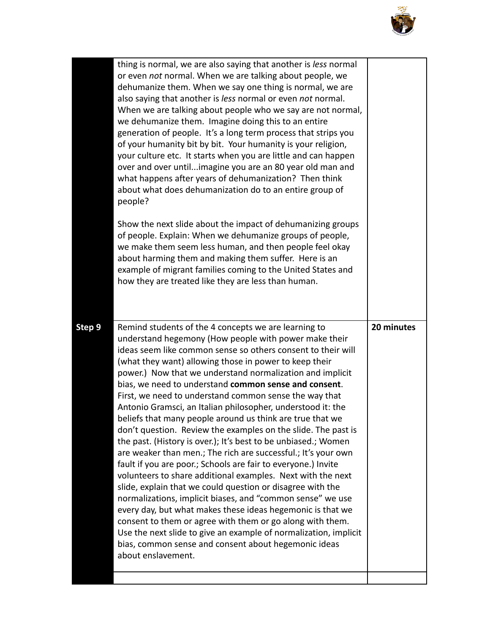

|        | thing is normal, we are also saying that another is less normal<br>or even not normal. When we are talking about people, we<br>dehumanize them. When we say one thing is normal, we are<br>also saying that another is less normal or even not normal.<br>When we are talking about people who we say are not normal,<br>we dehumanize them. Imagine doing this to an entire<br>generation of people. It's a long term process that strips you<br>of your humanity bit by bit. Your humanity is your religion,<br>your culture etc. It starts when you are little and can happen<br>over and over untilimagine you are an 80 year old man and<br>what happens after years of dehumanization? Then think<br>about what does dehumanization do to an entire group of<br>people?                                                                                                                                                                                                                                                                                                                                                                                                                                                                                                                    |            |
|--------|--------------------------------------------------------------------------------------------------------------------------------------------------------------------------------------------------------------------------------------------------------------------------------------------------------------------------------------------------------------------------------------------------------------------------------------------------------------------------------------------------------------------------------------------------------------------------------------------------------------------------------------------------------------------------------------------------------------------------------------------------------------------------------------------------------------------------------------------------------------------------------------------------------------------------------------------------------------------------------------------------------------------------------------------------------------------------------------------------------------------------------------------------------------------------------------------------------------------------------------------------------------------------------------------------|------------|
|        | Show the next slide about the impact of dehumanizing groups<br>of people. Explain: When we dehumanize groups of people,<br>we make them seem less human, and then people feel okay<br>about harming them and making them suffer. Here is an<br>example of migrant families coming to the United States and<br>how they are treated like they are less than human.                                                                                                                                                                                                                                                                                                                                                                                                                                                                                                                                                                                                                                                                                                                                                                                                                                                                                                                                |            |
|        |                                                                                                                                                                                                                                                                                                                                                                                                                                                                                                                                                                                                                                                                                                                                                                                                                                                                                                                                                                                                                                                                                                                                                                                                                                                                                                  |            |
| Step 9 | Remind students of the 4 concepts we are learning to<br>understand hegemony (How people with power make their<br>ideas seem like common sense so others consent to their will<br>(what they want) allowing those in power to keep their<br>power.) Now that we understand normalization and implicit<br>bias, we need to understand common sense and consent.<br>First, we need to understand common sense the way that<br>Antonio Gramsci, an Italian philosopher, understood it: the<br>beliefs that many people around us think are true that we<br>don't question. Review the examples on the slide. The past is<br>the past. (History is over.); It's best to be unbiased.; Women<br>are weaker than men.; The rich are successful.; It's your own<br>fault if you are poor.; Schools are fair to everyone.) Invite<br>volunteers to share additional examples. Next with the next<br>slide, explain that we could question or disagree with the<br>normalizations, implicit biases, and "common sense" we use<br>every day, but what makes these ideas hegemonic is that we<br>consent to them or agree with them or go along with them.<br>Use the next slide to give an example of normalization, implicit<br>bias, common sense and consent about hegemonic ideas<br>about enslavement. | 20 minutes |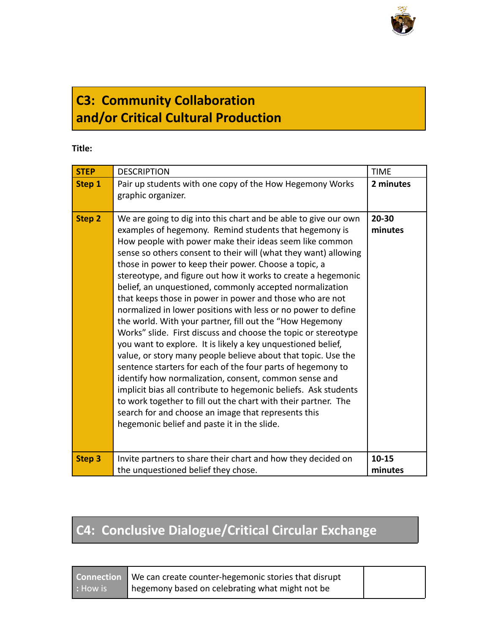

## **C3: Community Collaboration and/or Critical Cultural Production**

#### **Title:**

| <b>STEP</b>   | <b>DESCRIPTION</b>                                                                                                                                                                                                                                                                                                                                                                                                                                                                                                                                                                                                                                                                                                                                                                                                                                                                                                                                                                                                                                                                                                                                                                                           | <b>TIME</b>          |
|---------------|--------------------------------------------------------------------------------------------------------------------------------------------------------------------------------------------------------------------------------------------------------------------------------------------------------------------------------------------------------------------------------------------------------------------------------------------------------------------------------------------------------------------------------------------------------------------------------------------------------------------------------------------------------------------------------------------------------------------------------------------------------------------------------------------------------------------------------------------------------------------------------------------------------------------------------------------------------------------------------------------------------------------------------------------------------------------------------------------------------------------------------------------------------------------------------------------------------------|----------------------|
| Step 1        | Pair up students with one copy of the How Hegemony Works<br>graphic organizer.                                                                                                                                                                                                                                                                                                                                                                                                                                                                                                                                                                                                                                                                                                                                                                                                                                                                                                                                                                                                                                                                                                                               | 2 minutes            |
| Step 2        | We are going to dig into this chart and be able to give our own<br>examples of hegemony. Remind students that hegemony is<br>How people with power make their ideas seem like common<br>sense so others consent to their will (what they want) allowing<br>those in power to keep their power. Choose a topic, a<br>stereotype, and figure out how it works to create a hegemonic<br>belief, an unquestioned, commonly accepted normalization<br>that keeps those in power in power and those who are not<br>normalized in lower positions with less or no power to define<br>the world. With your partner, fill out the "How Hegemony<br>Works" slide. First discuss and choose the topic or stereotype<br>you want to explore. It is likely a key unquestioned belief,<br>value, or story many people believe about that topic. Use the<br>sentence starters for each of the four parts of hegemony to<br>identify how normalization, consent, common sense and<br>implicit bias all contribute to hegemonic beliefs. Ask students<br>to work together to fill out the chart with their partner. The<br>search for and choose an image that represents this<br>hegemonic belief and paste it in the slide. | $20 - 30$<br>minutes |
| <b>Step 3</b> | Invite partners to share their chart and how they decided on<br>the unquestioned belief they chose.                                                                                                                                                                                                                                                                                                                                                                                                                                                                                                                                                                                                                                                                                                                                                                                                                                                                                                                                                                                                                                                                                                          | $10 - 15$<br>minutes |

## **C4: Conclusive Dialogue/Critical Circular Exchange**

**Connection :** How is

We can create counter-hegemonic stories that disrupt hegemony based on celebrating what might not be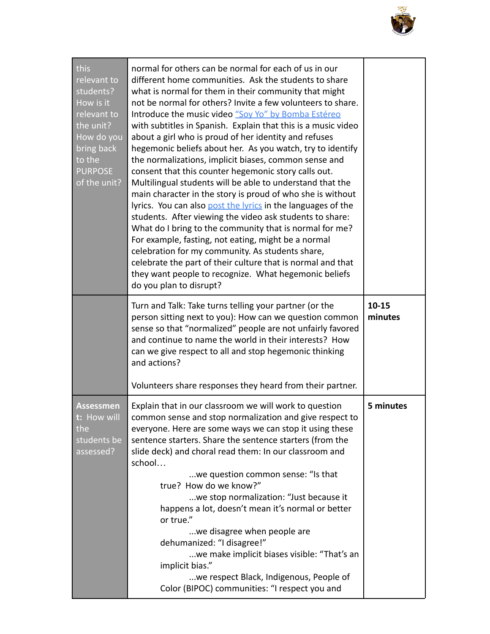

| this<br>relevant to<br>students?<br>How is it<br>relevant to                      | normal for others can be normal for each of us in our<br>different home communities. Ask the students to share<br>what is normal for them in their community that might<br>not be normal for others? Invite a few volunteers to share.<br>Introduce the music video "Sov Yo" by Bomba Estéreo                                                                                                                                                                                                                                                                                                                                                                                                                                                                                                                                                                                         |                      |
|-----------------------------------------------------------------------------------|---------------------------------------------------------------------------------------------------------------------------------------------------------------------------------------------------------------------------------------------------------------------------------------------------------------------------------------------------------------------------------------------------------------------------------------------------------------------------------------------------------------------------------------------------------------------------------------------------------------------------------------------------------------------------------------------------------------------------------------------------------------------------------------------------------------------------------------------------------------------------------------|----------------------|
| the unit?<br>How do you<br>bring back<br>to the<br><b>PURPOSE</b><br>of the unit? | with subtitles in Spanish. Explain that this is a music video<br>about a girl who is proud of her identity and refuses<br>hegemonic beliefs about her. As you watch, try to identify<br>the normalizations, implicit biases, common sense and<br>consent that this counter hegemonic story calls out.<br>Multilingual students will be able to understand that the<br>main character in the story is proud of who she is without<br>lyrics. You can also post the lyrics in the languages of the<br>students. After viewing the video ask students to share:<br>What do I bring to the community that is normal for me?<br>For example, fasting, not eating, might be a normal<br>celebration for my community. As students share,<br>celebrate the part of their culture that is normal and that<br>they want people to recognize. What hegemonic beliefs<br>do you plan to disrupt? |                      |
|                                                                                   | Turn and Talk: Take turns telling your partner (or the<br>person sitting next to you): How can we question common<br>sense so that "normalized" people are not unfairly favored<br>and continue to name the world in their interests? How<br>can we give respect to all and stop hegemonic thinking<br>and actions?                                                                                                                                                                                                                                                                                                                                                                                                                                                                                                                                                                   | $10 - 15$<br>minutes |
|                                                                                   | Volunteers share responses they heard from their partner.                                                                                                                                                                                                                                                                                                                                                                                                                                                                                                                                                                                                                                                                                                                                                                                                                             |                      |
| <b>Assessmen</b><br>t: How will<br>the<br>students be<br>assessed?                | Explain that in our classroom we will work to question<br>common sense and stop normalization and give respect to<br>everyone. Here are some ways we can stop it using these<br>sentence starters. Share the sentence starters (from the<br>slide deck) and choral read them: In our classroom and<br>school                                                                                                                                                                                                                                                                                                                                                                                                                                                                                                                                                                          | 5 minutes            |
|                                                                                   | we question common sense: "Is that<br>true? How do we know?"                                                                                                                                                                                                                                                                                                                                                                                                                                                                                                                                                                                                                                                                                                                                                                                                                          |                      |
|                                                                                   | we stop normalization: "Just because it<br>happens a lot, doesn't mean it's normal or better<br>or true."                                                                                                                                                                                                                                                                                                                                                                                                                                                                                                                                                                                                                                                                                                                                                                             |                      |
|                                                                                   | we disagree when people are<br>dehumanized: "I disagree!"                                                                                                                                                                                                                                                                                                                                                                                                                                                                                                                                                                                                                                                                                                                                                                                                                             |                      |
|                                                                                   | we make implicit biases visible: "That's an<br>implicit bias."                                                                                                                                                                                                                                                                                                                                                                                                                                                                                                                                                                                                                                                                                                                                                                                                                        |                      |
|                                                                                   | we respect Black, Indigenous, People of<br>Color (BIPOC) communities: "I respect you and                                                                                                                                                                                                                                                                                                                                                                                                                                                                                                                                                                                                                                                                                                                                                                                              |                      |